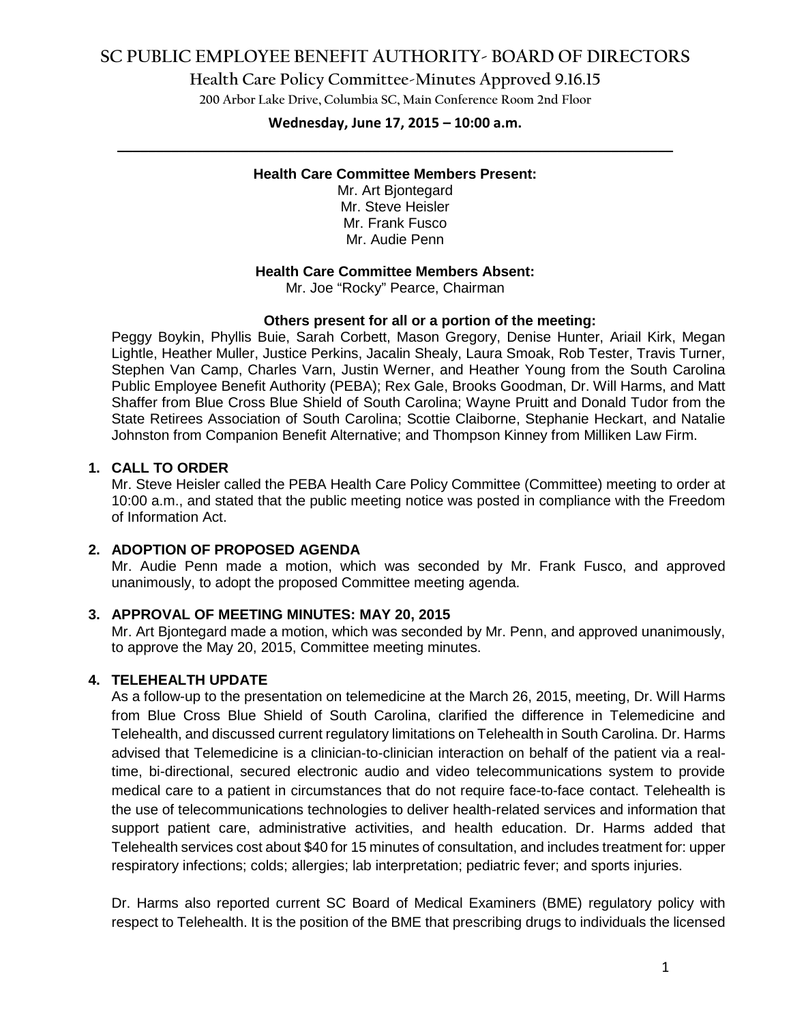## **SC PUBLIC EMPLOYEE BENEFIT AUTHORITY- BOARD OF DIRECTORS**

**Health Care Policy Committee-Minutes Approved 9.16.15**

**200 Arbor Lake Drive, Columbia SC, Main Conference Room 2nd Floor**

# **Wednesday, June 17, 2015 – 10:00 a.m. \_\_\_\_\_\_\_\_\_\_\_\_\_\_\_\_\_\_\_\_\_\_\_\_\_\_\_\_\_\_\_\_\_\_\_\_\_\_\_\_\_\_\_\_\_\_\_\_\_\_\_\_\_\_\_\_\_\_\_\_\_\_\_\_\_\_\_\_\_\_\_\_**

#### **Health Care Committee Members Present:**

Mr. Art Bjontegard Mr. Steve Heisler Mr. Frank Fusco Mr. Audie Penn

#### **Health Care Committee Members Absent:**

Mr. Joe "Rocky" Pearce, Chairman

#### **Others present for all or a portion of the meeting:**

Peggy Boykin, Phyllis Buie, Sarah Corbett, Mason Gregory, Denise Hunter, Ariail Kirk, Megan Lightle, Heather Muller, Justice Perkins, Jacalin Shealy, Laura Smoak, Rob Tester, Travis Turner, Stephen Van Camp, Charles Varn, Justin Werner, and Heather Young from the South Carolina Public Employee Benefit Authority (PEBA); Rex Gale, Brooks Goodman, Dr. Will Harms, and Matt Shaffer from Blue Cross Blue Shield of South Carolina; Wayne Pruitt and Donald Tudor from the State Retirees Association of South Carolina; Scottie Claiborne, Stephanie Heckart, and Natalie Johnston from Companion Benefit Alternative; and Thompson Kinney from Milliken Law Firm.

#### **1. CALL TO ORDER**

Mr. Steve Heisler called the PEBA Health Care Policy Committee (Committee) meeting to order at 10:00 a.m., and stated that the public meeting notice was posted in compliance with the Freedom of Information Act.

### **2. ADOPTION OF PROPOSED AGENDA**

Mr. Audie Penn made a motion, which was seconded by Mr. Frank Fusco, and approved unanimously, to adopt the proposed Committee meeting agenda.

#### **3. APPROVAL OF MEETING MINUTES: MAY 20, 2015**

Mr. Art Bjontegard made a motion, which was seconded by Mr. Penn, and approved unanimously, to approve the May 20, 2015, Committee meeting minutes.

#### **4. TELEHEALTH UPDATE**

As a follow-up to the presentation on telemedicine at the March 26, 2015, meeting, Dr. Will Harms from Blue Cross Blue Shield of South Carolina, clarified the difference in Telemedicine and Telehealth, and discussed current regulatory limitations on Telehealth in South Carolina. Dr. Harms advised that Telemedicine is a clinician-to-clinician interaction on behalf of the patient via a realtime, bi-directional, secured electronic audio and video telecommunications system to provide medical care to a patient in circumstances that do not require face-to-face contact. Telehealth is the use of telecommunications technologies to deliver health-related services and information that support patient care, administrative activities, and health education. Dr. Harms added that Telehealth services cost about \$40 for 15 minutes of consultation, and includes treatment for: upper respiratory infections; colds; allergies; lab interpretation; pediatric fever; and sports injuries.

Dr. Harms also reported current SC Board of Medical Examiners (BME) regulatory policy with respect to Telehealth. It is the position of the BME that prescribing drugs to individuals the licensed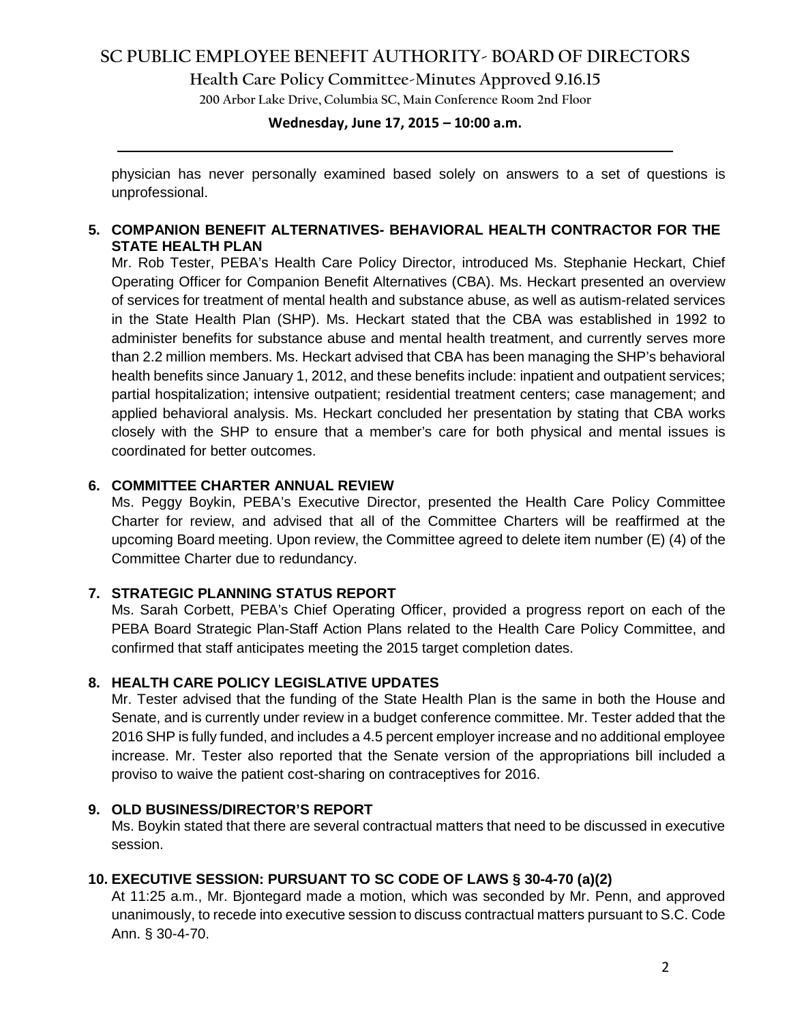# **SC PUBLIC EMPLOYEE BENEFIT AUTHORITY- BOARD OF DIRECTORS**

**Health Care Policy Committee-Minutes Approved 9.16.15**

**200 Arbor Lake Drive, Columbia SC, Main Conference Room 2nd Floor**

# **Wednesday, June 17, 2015 – 10:00 a.m. \_\_\_\_\_\_\_\_\_\_\_\_\_\_\_\_\_\_\_\_\_\_\_\_\_\_\_\_\_\_\_\_\_\_\_\_\_\_\_\_\_\_\_\_\_\_\_\_\_\_\_\_\_\_\_\_\_\_\_\_\_\_\_\_\_\_\_\_\_\_\_\_**

physician has never personally examined based solely on answers to a set of questions is unprofessional.

### **5. COMPANION BENEFIT ALTERNATIVES- BEHAVIORAL HEALTH CONTRACTOR FOR THE STATE HEALTH PLAN**

Mr. Rob Tester, PEBA's Health Care Policy Director, introduced Ms. Stephanie Heckart, Chief Operating Officer for Companion Benefit Alternatives (CBA). Ms. Heckart presented an overview of services for treatment of mental health and substance abuse, as well as autism-related services in the State Health Plan (SHP). Ms. Heckart stated that the CBA was established in 1992 to administer benefits for substance abuse and mental health treatment, and currently serves more than 2.2 million members. Ms. Heckart advised that CBA has been managing the SHP's behavioral health benefits since January 1, 2012, and these benefits include: inpatient and outpatient services; partial hospitalization; intensive outpatient; residential treatment centers; case management; and applied behavioral analysis. Ms. Heckart concluded her presentation by stating that CBA works closely with the SHP to ensure that a member's care for both physical and mental issues is coordinated for better outcomes.

## **6. COMMITTEE CHARTER ANNUAL REVIEW**

Ms. Peggy Boykin, PEBA's Executive Director, presented the Health Care Policy Committee Charter for review, and advised that all of the Committee Charters will be reaffirmed at the upcoming Board meeting. Upon review, the Committee agreed to delete item number (E) (4) of the Committee Charter due to redundancy.

### **7. STRATEGIC PLANNING STATUS REPORT**

Ms. Sarah Corbett, PEBA's Chief Operating Officer, provided a progress report on each of the PEBA Board Strategic Plan-Staff Action Plans related to the Health Care Policy Committee, and confirmed that staff anticipates meeting the 2015 target completion dates.

## **8. HEALTH CARE POLICY LEGISLATIVE UPDATES**

Mr. Tester advised that the funding of the State Health Plan is the same in both the House and Senate, and is currently under review in a budget conference committee. Mr. Tester added that the 2016 SHP is fully funded, and includes a 4.5 percent employer increase and no additional employee increase. Mr. Tester also reported that the Senate version of the appropriations bill included a proviso to waive the patient cost-sharing on contraceptives for 2016.

### **9. OLD BUSINESS/DIRECTOR'S REPORT**

Ms. Boykin stated that there are several contractual matters that need to be discussed in executive session.

### **10. EXECUTIVE SESSION: PURSUANT TO SC CODE OF LAWS § 30-4-70 (a)(2)**

At 11:25 a.m., Mr. Bjontegard made a motion, which was seconded by Mr. Penn, and approved unanimously, to recede into executive session to discuss contractual matters pursuant to S.C. Code Ann. § 30-4-70.